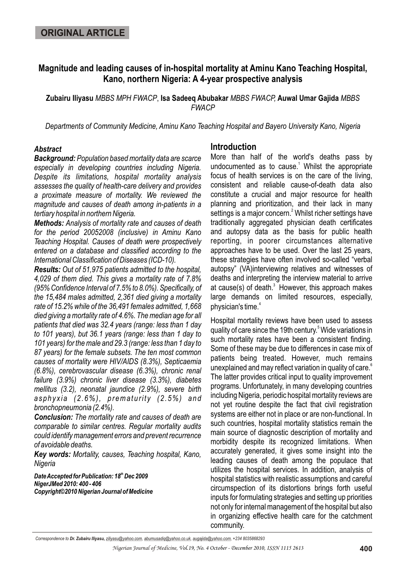## **Magnitude and leading causes of in-hospital mortality at Aminu Kano Teaching Hospital, Kano, northern Nigeria: A 4-year prospective analysis**

**Zubairu Iliyasu** *MBBS MPH FWACP*, **Isa Sadeeq Abubakar** *MBBS FWACP,* **Auwal Umar Gajida** *MBBS FWACP*

*Departments of Community Medicine, Aminu Kano Teaching Hospital and Bayero University Kano, Nigeria*

#### *Abstract*

*Background: Population based mortality data are scarce especially in developing countries including Nigeria. Despite its limitations, hospital mortality analysis assesses the quality of health-care delivery and provides a proximate measure of mortality. We reviewed the magnitude and causes of death among in-patients in a tertiary hospital in northern Nigeria.*

*Methods: Analysis of mortality rate and causes of death for the period 20052008 (inclusive) in Aminu Kano Teaching Hospital. Causes of death were prospectively entered on a database and classified according to the International Classification of Diseases (ICD-10).*

*Results: Out of 51,975 patients admitted to the hospital, 4,029 of them died. This gives a mortality rate of 7.8% (95% Confidence Interval of 7.5% to 8.0%). Specifically, of the 15,484 males admitted, 2,361 died giving a mortality rate of 15.2% while of the 36,491 females admitted, 1,668 died giving a mortality rate of 4.6%. The median age for all patients that died was 32.4 years (range: less than 1 day to 101 years), but 36.1 years (range: less than 1 day to 101 years) for the male and 29.3 (range: less than 1 day to 87 years) for the female subsets. The ten most common causes of mortality were HIV/AIDS (8.3%), Septicaemia (6.8%), cerebrovascular disease (6.3%), chronic renal failure (3.9%) chronic liver disease (3.3%), diabetes mellitus (3.2), neonatal jaundice (2.9%), severe birth asphyxia (2.6%), prematurity (2.5%) and bronchopneumonia (2.4%).*

*Conclusion: The mortality rate and causes of death are comparable to similar centres. Regular mortality audits could identify management errors and prevent recurrence of avoidable deaths.*

*Key words: Mortality, causes, Teaching hospital, Kano, Nigeria*

**Date Accepted for Publication: 18<sup>th</sup> Dec 2009** *NigerJMed 2010: 400 - 406 Copyright©2010 Nigerian Journal of Medicine*

### **Introduction**

More than half of the world's deaths pass by undocumented as to cause.<sup>1</sup> Whilst the appropriate focus of health services is on the care of the living, consistent and reliable cause-of-death data also constitute a crucial and major resource for health planning and prioritization, and their lack in many settings is a major concern.<sup>2</sup> Whilst richer settings have traditionally aggregated physician death certificates and autopsy data as the basis for public health reporting, in poorer circumstances alternative approaches have to be used. Over the last 25 years, these strategies have often involved so-called "verbal autopsy" (VA)interviewing relatives and witnesses of deaths and interpreting the interview material to arrive at cause(s) of death. $3$  However, this approach makes large demands on limited resources, especially, 4 physician's time.

Hospital mortality reviews have been used to assess quality of care since the 19th century.<sup>5</sup> Wide variations in such mortality rates have been a consistent finding. Some of these may be due to differences in case mix of patients being treated. However, much remains unexplained and may reflect variation in quality of care. $\degree$ The latter provides critical input to quality improvement programs. Unfortunately, in many developing countries including Nigeria, periodic hospital mortality reviews are not yet routine despite the fact that civil registration systems are either not in place or are non-functional. In such countries, hospital mortality statistics remain the main source of diagnostic description of mortality and morbidity despite its recognized limitations. When accurately generated, it gives some insight into the leading causes of death among the populace that utilizes the hospital services. In addition, analysis of hospital statistics with realistic assumptions and careful circumspection of its distortions brings forth useful inputs for formulating strategies and setting up priorities not only for internal management of the hospital but also in organizing effective health care for the catchment community.

*Correspondence to Dr. Zubairu Iliyasu, ziliyasu@yahoo.com, abumusadiq@yahoo.co.uk, augajida@yahoo.com, +234 8035868293*

*Nigerian Journal of Medicine, Vol.19, No. 4 October - December 2010, ISSN 1115 2613*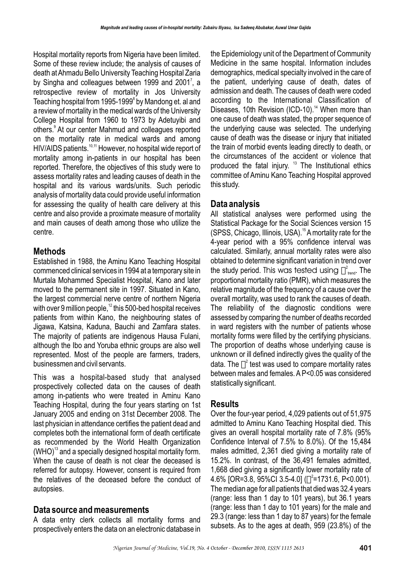Hospital mortality reports from Nigeria have been limited. Some of these review include; the analysis of causes of death at Ahmadu Bello University Teaching Hospital Zaria by Singha and colleagues between 1999 and 2001<sup>7</sup>, a retrospective review of mortality in Jos University Teaching hospital from 1995-1999<sup>8</sup> by Mandong et. al and a review of mortality in the medical wards of the University College Hospital from 1960 to 1973 by Adetuyibi and others.<sup>9</sup> At our center Mahmud and colleagues reported on the mortality rate in medical wards and among HIV/AIDS patients.<sup>10,11</sup> However, no hospital wide report of mortality among in-patients in our hospital has been reported. Therefore, the objectives of this study were to assess mortality rates and leading causes of death in the hospital and its various wards/units. Such periodic analysis of mortality data could provide useful information for assessing the quality of health care delivery at this centre and also provide a proximate measure of mortality and main causes of death among those who utilize the centre.

### **Methods**

Established in 1988, the Aminu Kano Teaching Hospital commenced clinical services in 1994 at a temporary site in Murtala Mohammed Specialist Hospital, Kano and later moved to the permanent site in 1997. Situated in Kano, the largest commercial nerve centre of northern Nigeria with over 9 million people,  $12$  this 500-bed hospital receives patients from within Kano, the neighbouring states of Jigawa, Katsina, Kaduna, Bauchi and Zamfara states. The majority of patients are indigenous Hausa Fulani, although the Ibo and Yoruba ethnic groups are also well represented. Most of the people are farmers, traders, businessmen and civil servants.

This was a hospital-based study that analysed prospectively collected data on the causes of death among in-patients who were treated in Aminu Kano Teaching Hospital, during the four years starting on 1st January 2005 and ending on 31st December 2008. The last physician in attendance certifies the patient dead and completes both the international form of death certificate as recommended by the World Health Organization  $(WHO)<sup>13</sup>$  and a specially designed hospital mortality form. When the cause of death is not clear the deceased is referred for autopsy. However, consent is required from the relatives of the deceased before the conduct of autopsies.

# **Data source and measurements**

A data entry clerk collects all mortality forms and prospectively enters the data on an electronic database in

the Epidemiology unit of the Department of Community Medicine in the same hospital. Information includes demographics, medical specialty involved in the care of the patient, underlying cause of death, dates of admission and death. The causes of death were coded according to the International Classification of Diseases, 10th Revision (ICD-10).<sup>14</sup> When more than one cause of death was stated, the proper sequence of the underlying cause was selected. The underlying cause of death was the disease or injury that initiated the train of morbid events leading directly to death, or the circumstances of the accident or violence that produced the fatal injury.  $13$  The Institutional ethics committee of Aminu Kano Teaching Hospital approved this study.

## **Data analysis**

All statistical analyses were performed using the Statistical Package for the Social Sciences version 15  $(SPSS, Chicago, Illinois, USA).$ <sup>15</sup> A mortality rate for the 4-year period with a 95% confidence interval was calculated. Similarly, annual mortality rates were also obtained to determine significant variation in trend over the study period. This was tested using  $\bigcap_{\mathfrak{t}^2}^2$  The proportional mortality ratio (PMR), which measures the relative magnitude of the frequency of a cause over the overall mortality, was used to rank the causes of death. The reliability of the diagnostic conditions were assessed by comparing the number of deaths recorded in ward registers with the number of patients whose mortality forms were filled by the certifying physicians. The proportion of deaths whose underlying cause is unknown or ill defined indirectly gives the quality of the data. The  $\mathbb{I}^2$  test was used to compare mortality rates between males and females. A P<0.05 was considered statistically significant.

# **Results**

Over the four-year period, 4,029 patients out of 51,975 admitted to Aminu Kano Teaching Hospital died. This gives an overall hospital mortality rate of 7.8% (95% Confidence Interval of 7.5% to 8.0%). Of the 15,484 males admitted, 2,361 died giving a mortality rate of 15.2%. In contrast, of the 36,491 females admitted, 1,668 died giving a significantly lower mortality rate of 4.6% [OR=3.8, 95%CI 3.5-4.0] ( $\Box^2$ =1731.6, P<0.001). The median age for all patients that died was 32.4 years (range: less than 1 day to 101 years), but 36.1 years (range: less than 1 day to 101 years) for the male and 29.3 (range: less than 1 day to 87 years) for the female subsets. As to the ages at death, 959 (23.8%) of the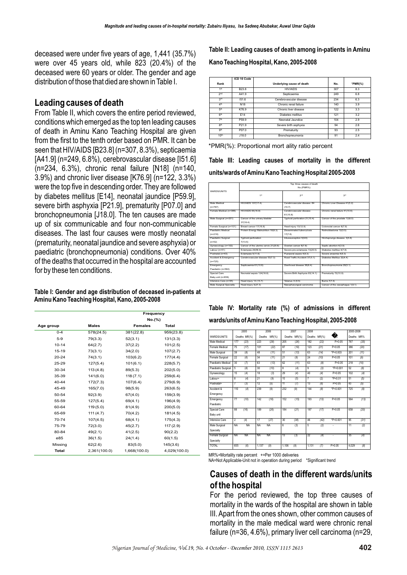deceased were under five years of age, 1,441 (35.7%) were over 45 years old, while 823 (20.4%) of the deceased were 60 years or older. The gender and age distribution of those that died are shown in Table I.

### **Leading causes of death**

From Table II, which covers the entire period reviewed, conditions which emerged as the top ten leading causes of death in Aminu Kano Teaching Hospital are given from the first to the tenth order based on PMR. It can be seen that HIV/AIDS [B23.8] (n=307, 8.3%), septicaemia [A41.9] (n=249, 6.8%), cerebrovascular disease [I51.6] (n=234, 6.3%), chronic renal failure [N18] (n=140, 3.9%) and chronic liver disease [K76.9] (n=122, 3.3%) were the top five in descending order. They are followed by diabetes mellitus [E14], neonatal jaundice [P59.9], severe birth asphyxia [P21.9], prematurity [P07.0] and bronchopneumonia [J18.0]. The ten causes are made up of six communicable and four non-communicable diseases. The last four causes were mostly neonatal (prematurity, neonatal jaundice and severe asphyxia) or paediatric (bronchopneumonia) conditions. Over 40% of the deaths that occurred in the hospital are accounted for by these ten conditions.

**Table I: Gender and age distribution of deceased in-patients at Aminu Kano Teaching Hospital, Kano, 2005-2008** 

|           |              | Frequency      |              |  |  |  |
|-----------|--------------|----------------|--------------|--|--|--|
|           |              | No.(%)         |              |  |  |  |
| Age group | Males        | <b>Females</b> | <b>Total</b> |  |  |  |
| $0 - 4$   | 578(24.5)    | 381(22.8)      | 959(23.8)    |  |  |  |
| $5-9$     | 79(3.3)      | 52(3.1)        | 131(3.3)     |  |  |  |
| $10 - 14$ | 64(2.7)      | 37(2.2)        | 101(2.5)     |  |  |  |
| $15 - 19$ | 73(3.1)      | 34(2.0)        | 107(2.7)     |  |  |  |
| 20-24     | 74(3.1)      | 103(6.2)       | 177(4.4)     |  |  |  |
| 25-29     | 127(5.4)     | 101(6.1)       | 228(5.7)     |  |  |  |
| 30-34     | 113(4.8)     | 89(5.3)        | 202(5.0)     |  |  |  |
| 35-39     | 141(6.0)     | 118(7.1)       | 259(6.4)     |  |  |  |
| 40-44     | 172(7.3)     | 107(6.4)       | 279(6.9)     |  |  |  |
| 45-49     | 165(7.0)     | 98(5.9)        | 263(6.5)     |  |  |  |
| 50-54     | 92(3.9)      | 67(4.0)        | 159(3.9)     |  |  |  |
| 55-59     | 127(5.4)     | 69(4.1)        | 196(4.9)     |  |  |  |
| 60-64     | 119(5.0)     | 81(4.9)        | 200(5.0)     |  |  |  |
| 65-69     | 111(4.7)     | 70(4.2)        | 181(4.5)     |  |  |  |
| 70-74     | 107(4.5)     | 68(4.1)        | 175(4.3)     |  |  |  |
| 75-79     | 72(3.0)      | 45(2.7)        | 117(2.9)     |  |  |  |
| 80-84     | 49(2.1)      | 41(2.5)        | 90(2.2)      |  |  |  |
| e85       | 36(1.5)      | 24(1.4)        | 60(1.5)      |  |  |  |
| Missing   | 62(2.6)      | 83(5.0)        | 145(3.6)     |  |  |  |
| Total     | 2,361(100.0) | 1,668(100.0)   | 4,029(100.0) |  |  |  |

**Table II: Leading causes of death among in-patients in Aminu Kano Teaching Hospital, Kano, 2005-2008**

|                  | ICD 10 Code       |                           |     |            |
|------------------|-------------------|---------------------------|-----|------------|
| Rank             |                   | Underlying cause of death | No. | $*PMR(\%)$ |
| 1 <sup>st</sup>  | B <sub>23</sub> 8 | HIV/AIDS                  | 307 | 8.3        |
| 2 <sub>nd</sub>  | A41.9             | Septicaemia               | 249 | 6.8        |
| 3rd              | 151.6             | Cerebrovascular disease   | 234 | 6.3        |
| 4 <sup>th</sup>  | N <sub>18</sub>   | Chronic renal failure     | 140 | 3.9        |
| 5 <sup>th</sup>  | K76.9             | Chronic liver disease     | 122 | 3.3        |
| 6 <sup>th</sup>  | E14               | Diabetes mellitus         | 121 | 3.2        |
| 7th              | P59.9             | Neonatal Jaundice         | 104 | 2.9        |
| 8 <sup>th</sup>  | P <sub>21.9</sub> | Severe birth asphyxia     | 94  | 2.6        |
| gth              | P07.0             | Prematurity               | 93  | 2.5        |
| 10 <sup>th</sup> | J18.0             | Bronchopneumonia          | 91  | 2.4        |

\*PMR(%): Proportional mort ality ratio percent

**Table III: Leading causes of mortality in the different units/wards of Aminu Kano Teaching Hospital 2005-2008**

|                         | Top three causes of death             |                                |                                 |  |  |  |  |  |
|-------------------------|---------------------------------------|--------------------------------|---------------------------------|--|--|--|--|--|
|                         | No.(PMR%)                             |                                |                                 |  |  |  |  |  |
| <b>WARDS/UNITS</b>      |                                       |                                |                                 |  |  |  |  |  |
|                         | 1 <sup>st</sup>                       | 2nd                            | 3rd                             |  |  |  |  |  |
|                         |                                       |                                |                                 |  |  |  |  |  |
| Male Medical            | HIV/AIDS 137(17.4)                    | Cerebrovascular disease 84     | Chronic Liver Disease 41(5.2)   |  |  |  |  |  |
| $(n=787)$               |                                       | (10.7)                         |                                 |  |  |  |  |  |
| Female Medical (n=386)  | HIV/AIDS 65(16.8)                     | Cerebrovascular disease        | Chronic renal failure 41(10.6)  |  |  |  |  |  |
|                         |                                       | 61(15.8)                       |                                 |  |  |  |  |  |
| Male Surgical (n=201)   | Cancer of the urinary bladder         | Typhoid perforation 21(10.4)   | Cancer of the prostate 12(6.0)  |  |  |  |  |  |
|                         | 37(18.4)                              |                                |                                 |  |  |  |  |  |
| Female Surgical (n=101) | Breast cancer 17(16.8)                | Head iniury 13(12.9)           | Colorectal cancer 8(7.9)        |  |  |  |  |  |
| Paediatric Medical      | Protein Energy Malnutrition 18(8.3)   | Disseminated fuberculosis      | Retinoblastoma 12(5.5)          |  |  |  |  |  |
| $(n=218)$               |                                       | 17(7.8)                        |                                 |  |  |  |  |  |
| Paediatric Surgical     | <b>Typhoid perforation</b>            | Intussusception 5(9.6)         | Hirchsprungs disease 3(5.8)     |  |  |  |  |  |
| $(n=52)$                | 7(13.5)                               |                                |                                 |  |  |  |  |  |
| Gynaecology (n=102)     | Cancer of the uterine cervix 21(20.6) | Ovarian cancer 8(7.8)          | Septic abortion 4(3.9)          |  |  |  |  |  |
| Labour (n=51)           | Eclampsia 29(56.9)                    | Severe pre-eclampsia 13(25.5)  | Diabetes mellitus 4(7.8)        |  |  |  |  |  |
| Postnatal (n=43)        | Eclampsia 5(11.6)                     | Puerperal sepsis 4(9.3)        | Severe anaemia 4(9.3)           |  |  |  |  |  |
| Accident & Emergency    | Cerebrovascular disease 53(7.3)       | Road Traffic Accident 37(5.1)  | Diabetes Mellitus 32(4.4)       |  |  |  |  |  |
| $(n=725)$               |                                       |                                |                                 |  |  |  |  |  |
| Emergency               | Septicaemia 61(10.8)                  | Diarrhoeal disease 36(6.4)     | Bronchooneumonia 29(5.1)        |  |  |  |  |  |
| Paediatric (n=564)      |                                       |                                |                                 |  |  |  |  |  |
| Special Care            | Neonatal sepsis 124(18.8)             | Severe Birth Asphyxia 93(14.1) | Prematurity 72(10.9)            |  |  |  |  |  |
| Baby unit (n=658)       |                                       |                                |                                 |  |  |  |  |  |
| Intensive Care (n=95)   | Head iniury 13 (13.7)                 | Tetanus 9 (9.5)                | Burns 7(7.4)                    |  |  |  |  |  |
| Male Surgical Specialty | Head iniury 3(27.3)                   | Nasopharyngeal carcinoma       | Cancer of the oesophagus 1(9.1) |  |  |  |  |  |
|                         |                                       |                                |                                 |  |  |  |  |  |

|                                                        |  |  |  |  |  | Table IV: Mortality rate (%) of admissions in different |  |  |  |
|--------------------------------------------------------|--|--|--|--|--|---------------------------------------------------------|--|--|--|
| wards/units of Aminu Kano Teaching Hospital, 2005-2008 |  |  |  |  |  |                                                         |  |  |  |

|                       |                | 2005         |           | 2006      |       | 2007         | 2008            |           |                      | 2005-2008 |      |
|-----------------------|----------------|--------------|-----------|-----------|-------|--------------|-----------------|-----------|----------------------|-----------|------|
| <b>WARDS/UNITS</b>    |                | Deaths MR(%) | Deaths    | $MR(\%)$  |       | Deaths MR(%) | Deaths          | $MR(\% )$ | $2$ <sub>trand</sub> | Deaths    | MR%  |
| Male Medical          | 177            | (23)         | 223       | (28)      | 205   | (26)         | 182             | (22)      | P > 0.05             | 787       | (25) |
| <b>Female Medical</b> | 75             | (17)         | 101       | (22)      | 87    | (19)         | 123             | (21)      | P > 0.05             | 386       | (20) |
| Male Surgical         | 39             | (8)          | 48        | (11)      | 51    | (13)         | 63              | (14)      | $*P=0.003$           | 201       | (11) |
| Female Surgical       | 22             | (6)          | 34        | (11)      | 21    | (8)          | 24              | (10)      | P > 0.05             | 101       | (9)  |
| Paediatric Medical    | 30             | (7)          | 63        | (13)      | 62    | (11)         | 63              | (8)       | P > 0.05             | 218       | (10) |
| Paediatric Surgical   | 5              | (8)          | 30        | (10)      | 8     | (4)          | 9               | (3)       | $P = 0.001$          | 52        | (6)  |
| Gynaecology           | 15             | (4)          | 18        | (3)       | 29    | (4)          | 40              | (4)       | P > 0.05             | 102       | (4)  |
| I abour+              | 8              | (4)          | 21        | (9)       | 15    | (5)          | 7               | (2)       | $P = 0.01$           | 51        | (5)  |
| Postnatal+            | 7              | (3)          | 12        | (5)       | 11    | (7)          | 13              | (6)       | P > 0.05             | 43        | (5)  |
| Accident &            | 110            | (4)          | 239       | (9)       | 232   | (9)          | 144             | (8)       | *P<0.001             | 725       | (8)  |
| Emergency             |                |              |           |           |       |              |                 |           |                      |           |      |
| Emergency             | 77             | (10)         | 142       | (16)      | 152   | (15)         | 193             | (13)      | P > 0.05             | 564       | (13) |
| Paediatric            |                |              |           |           |       |              |                 |           |                      |           |      |
| Special Care          | 88             | (16)         | 189       | (26)      | 184   | (21)         | 197             | (17)      | P > 0.05             | 658       | (20) |
| Baby unit             |                |              |           |           |       |              |                 |           |                      |           |      |
| Intensive Care        | $\overline{c}$ | (4)          | 17        | (27)      | 30    | (38)         | 46              | (42)      | *P<0.001             | 95        | (31) |
| Male Surgical         | <b>NA</b>      | <b>NA</b>    | <b>NA</b> | <b>NA</b> | 6     | (3)          | 5               | (2)       | ٠                    | 11        | (2)  |
| Specialty             |                |              |           |           |       |              |                 |           |                      |           |      |
| Female Surgical       | <b>NA</b>      | <b>NA</b>    | <b>NA</b> | NA        | 13    | (3)          | $\overline{22}$ | (4)       | ٠                    | 35        | (4)  |
| Specialty             |                |              |           |           |       |              |                 |           |                      |           |      |
| <b>TOTAL</b>          | 655            | (6)          | 1.137     | (9)       | 1.106 | (9)          | 1.131           | (7)       | P > 0.05             | 4.029     | (8)  |

MR%=Mortality rate percent +=Per 1000 deliveries NA=Not Applicable-Unit not in operation during period \*Significant trend

### **Causes of death in the different wards/units of the hospital**

For the period reviewed, the top three causes of mortality in the wards of the hospital are shown in table III. Apart from the ones shown, other common causes of mortality in the male medical ward were chronic renal failure (n=36, 4.6%), primary liver cell carcinoma (n=29,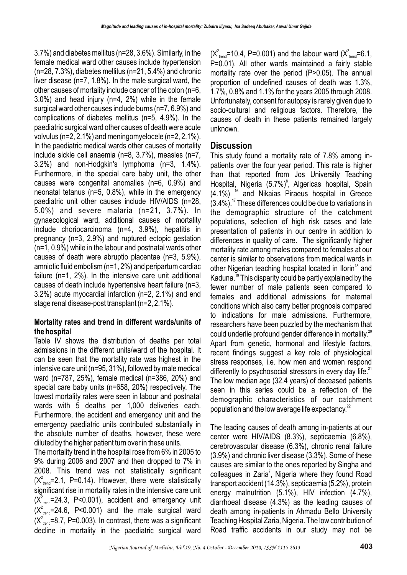3.7%) and diabetes mellitus (n=28, 3.6%). Similarly, in the female medical ward other causes include hypertension  $(n=28, 7.3\%)$ , diabetes mellitus  $(n=21, 5.4\%)$  and chronic liver disease (n=7, 1.8%). In the male surgical ward, the other causes of mortality include cancer of the colon (n=6, 3.0%) and head injury (n=4, 2%) while in the female surgical ward other causes include burns (n=7, 6.9%) and complications of diabetes mellitus (n=5, 4.9%). In the paediatric surgical ward other causes of death were acute volvulus (n=2, 2.1%) and meningomyelocele (n=2, 2.1%). In the paediatric medical wards other causes of mortality include sickle cell anaemia (n=8, 3.7%), measles (n=7, 3.2%) and non-Hodgkin's lymphoma (n=3, 1.4%). Furthermore, in the special care baby unit, the other causes were congenital anomalies (n=6, 0.9%) and neonatal tetanus (n=5, 0.8%), while in the emergency paediatric unit other causes include HIV/AIDS (n=28, 5.0%) and severe malaria (n=21, 3.7%). In gynaecological ward, additional causes of mortality include choriocarcinoma (n=4, 3.9%), hepatitis in pregnancy (n=3, 2.9%) and ruptured ectopic gestation (n=1, 0.9%) while in the labour and postnatal wards other causes of death were abruptio placentae (n=3, 5.9%), amniotic fluid embolism (n=1, 2%) and peripartum cardiac failure (n=1, 2%). In the intensive care unit additional causes of death include hypertensive heart failure (n=3, 3.2%) acute myocardial infarction (n=2, 2.1%) and end stage renal disease-post transplant (n=2, 2.1%).

### **Mortality rates and trend in different wards/units of the hospital**

Table IV shows the distribution of deaths per total admissions in the different units/ward of the hospital. It can be seen that the mortality rate was highest in the intensive care unit (n=95, 31%), followed by male medical ward (n=787, 25%), female medical (n=386, 20%) and special care baby units (n=658, 20%) respectively. The lowest mortality rates were seen in labour and postnatal wards with 5 deaths per 1,000 deliveries each. Furthermore, the accident and emergency unit and the emergency paediatric units contributed substantially in the absolute number of deaths, however, these were diluted by the higher patient turn over in these units.

The mortality trend in the hospital rose from 6% in 2005 to 9% during 2006 and 2007 and then dropped to 7% in 2008. This trend was not statistically significant  $(X^2_{\text{tend}}$ =2.1, P=0.14). However, there were statistically significant rise in mortality rates in the intensive care unit  $(X_{\text{tend}}^2=24.3, P<0.001)$ , accident and emergency unit  $(X^2_{\text{trend}}=24.6, P<0.001)$  and the male surgical ward  $(X^2_{\text{trend}}=8.7, P=0.003)$ . In contrast, there was a significant decline in mortality in the paediatric surgical ward

 $(X_{\text{trend}}^2=10.4, P=0.001)$  and the labour ward  $(X_{\text{trend}}^2=6.1,$ P=0.01). All other wards maintained a fairly stable mortality rate over the period (P>0.05). The annual proportion of undefined causes of death was 1.3%, 1.7%, 0.8% and 1.1% for the years 2005 through 2008. Unfortunately, consent for autopsy is rarely given due to socio-cultural and religious factors. Therefore, the causes of death in these patients remained largely unknown.

### **Discussion**

This study found a mortality rate of 7.8% among inpatients over the four year period. This rate is higher than that reported from Jos University Teaching Hospital, Nigeria (5.7%)<sup>8</sup>, Algericas hospital, Spain  $(4.1\%)$ <sup>16</sup> and Nikaias Piraeus hospital in Greece  $(3.4\%)$ .<sup>17</sup> These differences could be due to variations in the demographic structure of the catchment populations, selection of high risk cases and late presentation of patients in our centre in addition to differences in quality of care. The significantly higher mortality rate among males compared to females at our center is similar to observations from medical wards in other Nigerian teaching hospital located in Ilorin<sup>18</sup> and Kaduna.<sup>19</sup> This disparity could be partly explained by the fewer number of male patients seen compared to females and additional admissions for maternal conditions which also carry better prognosis compared to indications for male admissions. Furthermore, researchers have been puzzled by the mechanism that could underlie profound gender difference in mortality.<sup>20</sup> Apart from genetic, hormonal and lifestyle factors, recent findings suggest a key role of physiological stress responses, i.e. how men and women respond differently to psychosocial stressors in every day life. $^{21}$ The low median age (32.4 years) of deceased patients seen in this series could be a reflection of the demographic characteristics of our catchment population and the low average life expectancy. $^{22}$ 

The leading causes of death among in-patients at our center were HIV/AIDS (8.3%), septicaemia (6.8%), cerebrovascular disease (6.3%), chronic renal failure (3.9%) and chronic liver disease (3.3%). Some of these causes are similar to the ones reported by Singha and colleagues in Zaria<sup>7</sup>, Nigeria where they found Road transport accident (14.3%), septicaemia (5.2%), protein energy malnutrition (5.1%), HIV infection (4.7%), diarrhoeal disease (4.3%) as the leading causes of death among in-patients in Ahmadu Bello University Teaching Hospital Zaria, Nigeria. The low contribution of Road traffic accidents in our study may not be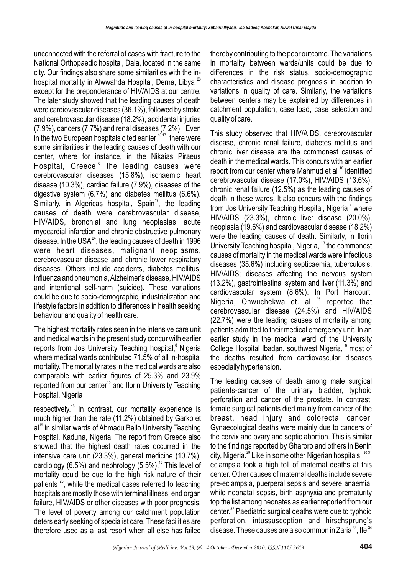unconnected with the referral of cases with fracture to the National Orthopaedic hospital, Dala, located in the same city. Our findings also share some similarities with the inhospital mortality in Alwwahda Hospital, Derna, Libya<sup>23</sup> except for the preponderance of HIV/AIDS at our centre. The later study showed that the leading causes of death were cardiovascular diseases (36.1%), followed by stroke and cerebrovascular disease (18.2%), accidental injuries (7.9%), cancers (7.7%) and renal diseases (7.2%). Even in the two European hospitals cited earlier  $16,17$ , there were some similarities in the leading causes of death with our center, where for instance, in the Nikaias Piraeus Hospital, Greece<sup>16</sup> the leading causes were cerebrovascular diseases (15.8%), ischaemic heart disease (10.3%), cardiac failure (7.9%), diseases of the digestive system (6.7%) and diabetes mellitus (6.6%). Similarly, in Algericas hospital, Spain<sup>17</sup>, the leading causes of death were cerebrovascular disease, HIV/AIDS, bronchial and lung neoplasias, acute myocardial infarction and chronic obstructive pulmonary disease. In the USA $^{24}$ , the leading causes of death in 1996 were heart diseases, malignant neoplasms, cerebrovascular disease and chronic lower respiratory diseases. Others include accidents, diabetes mellitus, influenza and pneumonia, Alzheimer's disease, HIV/AIDS and intentional self-harm (suicide). These variations could be due to socio-demographic, industrialization and lifestyle factors in addition to differences in health seeking behaviour and quality of health care.

The highest mortality rates seen in the intensive care unit and medical wards in the present study concur with earlier reports from Jos University Teaching hospital,<sup>8</sup> Nigeria where medical wards contributed 71.5% of all in-hospital mortality. The mortality rates in the medical wards are also comparable with earlier figures of 25.3% and 23.9% reported from our center<sup>10</sup> and Ilorin University Teaching Hospital, Nigeria

respectively.<sup>18</sup> In contrast, our mortality experience is much higher than the rate (11.2%) obtained by Garko et al<sup>19</sup> in similar wards of Ahmadu Bello University Teaching Hospital, Kaduna, Nigeria. The report from Greece also showed that the highest death rates occurred in the intensive care unit (23.3%), general medicine (10.7%), cardiology (6.5%) and nephrology (5.5%).<sup>16</sup> This level of mortality could be due to the high risk nature of their patients  $25$ , while the medical cases referred to teaching hospitals are mostly those with terminal illness, end organ failure, HIV/AIDS or other diseases with poor prognosis. The level of poverty among our catchment population deters early seeking of specialist care. These facilities are therefore used as a last resort when all else has failed

thereby contributing to the poor outcome. The variations in mortality between wards/units could be due to differences in the risk status, socio-demographic characteristics and disease prognosis in addition to variations in quality of care. Similarly, the variations between centers may be explained by differences in catchment population, case load, case selection and quality of care.

This study observed that HIV/AIDS, cerebrovascular disease, chronic renal failure, diabetes mellitus and chronic liver disease are the commonest causes of death in the medical wards. This concurs with an earlier report from our center where Mahmud et al <sup>10</sup> identified cerebrovascular disease (17.0%), HIV/AIDS (13.6%), chronic renal failure (12.5%) as the leading causes of death in these wards. It also concurs with the findings from Jos University Teaching Hospital, Nigeria <sup>8</sup> where HIV/AIDS (23.3%), chronic liver disease (20.0%), neoplasia (19.6%) and cardiovascular disease (18.2%) were the leading causes of death. Similarly, in Ilorin University Teaching hospital, Nigeria, <sup>19</sup> the commonest causes of mortality in the medical wards were infectious diseases (35.6%) including septicaemia, tuberculosis, HIV/AIDS; diseases affecting the nervous system (13.2%), gastrointestinal system and liver (11.3%) and cardiovascular system (8.6%). In Port Harcourt, Nigeria, Onwuchekwa et. al  $26$  reported that cerebrovascular disease (24.5%) and HIV/AIDS (22.7%) were the leading causes of mortality among patients admitted to their medical emergency unit. In an earlier study in the medical ward of the University College Hospital Ibadan, southwest Nigeria, <sup>9</sup> most of the deaths resulted from cardiovascular diseases especially hypertension.

The leading causes of death among male surgical patients-cancer of the urinary bladder, typhoid perforation and cancer of the prostate. In contrast, female surgical patients died mainly from cancer of the breast, head injury and colorectal cancer. Gynaecological deaths were mainly due to cancers of the cervix and ovary and septic abortion. This is similar to the findings reported by Gharoro and others in Benin city, Nigeria. $^{29}$  Like in some other Nigerian hospitals,  $^{30,31}$ eclampsia took a high toll of maternal deaths at this center. Other causes of maternal deaths include severe pre-eclampsia, puerperal sepsis and severe anaemia, while neonatal sepsis, birth asphyxia and prematurity top the list among neonates as earlier reported from our center.<sup>32</sup> Paediatric surgical deaths were due to typhoid perforation, intussusception and hirschsprung's disease. These causes are also common in Zaria  $^{33}$ . Ife  $^{34}$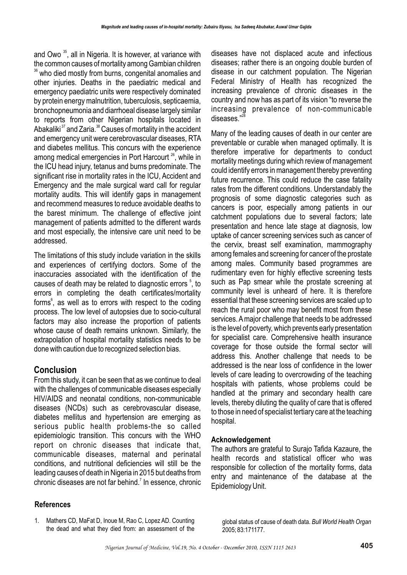and Owo  $35$ , all in Nigeria. It is however, at variance with the common causes of mortality among Gambian children <sup>36</sup> who died mostly from burns, congenital anomalies and other injuries. Deaths in the paediatric medical and emergency paediatric units were respectively dominated by protein energy malnutrition, tuberculosis, septicaemia, bronchopneumonia and diarrhoeal disease largely similar to reports from other Nigerian hospitals located in Abakaliki $37$  and Zaria. $38$  Causes of mortality in the accident and emergency unit were cerebrovascular diseases, RTA and diabetes mellitus. This concurs with the experience among medical emergencies in Port Harcourt  $26$ , while in the ICU head injury, tetanus and burns predominate. The significant rise in mortality rates in the ICU, Accident and Emergency and the male surgical ward call for regular mortality audits. This will identify gaps in management and recommend measures to reduce avoidable deaths to the barest minimum. The challenge of effective joint management of patients admitted to the different wards and most especially, the intensive care unit need to be addressed.

The limitations of this study include variation in the skills and experiences of certifying doctors. Some of the inaccuracies associated with the identification of the causes of death may be related to diagnostic errors  $5$ , to errors in completing the death certificates/mortality forms<sup>6</sup>, as well as to errors with respect to the coding process. The low level of autopsies due to socio-cultural factors may also increase the proportion of patients whose cause of death remains unknown. Similarly, the extrapolation of hospital mortality statistics needs to be done with caution due to recognized selection bias.

### **Conclusion**

From this study, it can be seen that as we continue to deal with the challenges of communicable diseases especially HIV/AIDS and neonatal conditions, non-communicable diseases (NCDs) such as cerebrovascular disease, diabetes mellitus and hypertension are emerging as serious public health problems-the so called epidemiologic transition. This concurs with the WHO report on chronic diseases that indicate that, communicable diseases, maternal and perinatal conditions, and nutritional deficiencies will still be the leading causes of death in Nigeria in 2015 but deaths from chronic diseases are not far behind. $\frac{7}{1}$  In essence, chronic

diseases have not displaced acute and infectious diseases; rather there is an ongoing double burden of disease in our catchment population. The Nigerian Federal Ministry of Health has recognized the increasing prevalence of chronic diseases in the country and now has as part of its vision "to reverse the increasing prevalence of non-communicable  $diseases.$ "<sup>28</sup>

Many of the leading causes of death in our center are preventable or curable when managed optimally. It is therefore imperative for departments to conduct mortality meetings during which review of management could identify errors in management thereby preventing future recurrence. This could reduce the case fatality rates from the different conditions. Understandably the prognosis of some diagnostic categories such as cancers is poor, especially among patients in our catchment populations due to several factors; late presentation and hence late stage at diagnosis, low uptake of cancer screening services such as cancer of the cervix, breast self examination, mammography among females and screening for cancer of the prostate among males. Community based programmes are rudimentary even for highly effective screening tests such as Pap smear while the prostate screening at community level is unheard of here. It is therefore essential that these screening services are scaled up to reach the rural poor who may benefit most from these services. A major challenge that needs to be addressed is the level of poverty, which prevents early presentation for specialist care. Comprehensive health insurance coverage for those outside the formal sector will address this. Another challenge that needs to be addressed is the near loss of confidence in the lower levels of care leading to overcrowding of the teaching hospitals with patients, whose problems could be handled at the primary and secondary health care levels, thereby diluting the quality of care that is offered to those in need of specialist tertiary care at the teaching hospital.

### **Acknowledgement**

The authors are grateful to Surajo Tafida Kazaure, the health records and statistical officer who was responsible for collection of the mortality forms, data entry and maintenance of the database at the Epidemiology Unit.

#### **References**

1. Mathers CD, MaFat D, Inoue M, Rao C, Lopez AD. Counting the dead and what they died from: an assessment of the global status of cause of death data. *Bull World Health Organ*  2005; 83:171177.